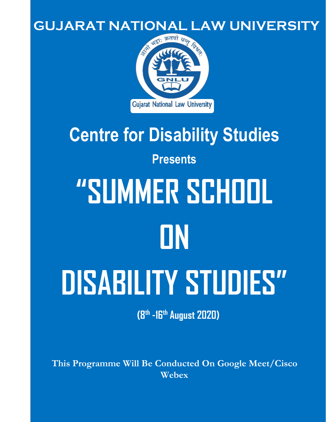**GUJARAT NATIONAL LAW UNIVERSITY** 



# **Centre for Disability Studies Presents**

# **"SUMMER SCHOOL ON DISABILITY STUDIES"**

 **(8th -16th August 2020)**

**This Programme Will Be Conducted On Google Meet/Cisco Webex**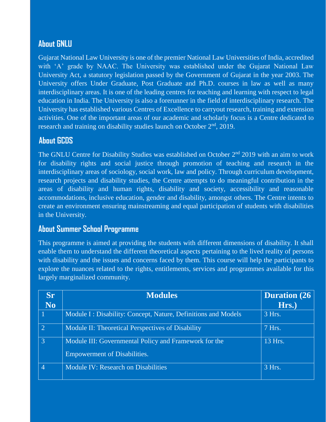## **About GNLU**

Gujarat National Law University is one of the premier National Law Universities of India, accredited with 'A' grade by NAAC. The University was established under the Gujarat National Law University Act, a statutory legislation passed by the Government of Gujarat in the year 2003. The University offers Under Graduate, Post Graduate and Ph.D. courses in law as well as many interdisciplinary areas. It is one of the leading centres for teaching and learning with respect to legal education in India. The University is also a forerunner in the field of interdisciplinary research. The University has established various Centres of Excellence to carryout research, training and extension activities. One of the important areas of our academic and scholarly focus is a Centre dedicated to research and training on disability studies launch on October  $2<sup>nd</sup>$ , 2019.

### **About GCDS**

The GNLU Centre for Disability Studies was established on October 2<sup>nd</sup> 2019 with an aim to work for disability rights and social justice through promotion of teaching and research in the interdisciplinary areas of sociology, social work, law and policy. Through curriculum development, research projects and disability studies, the Centre attempts to do meaningful contribution in the areas of disability and human rights, disability and society, accessibility and reasonable accommodations, inclusive education, gender and disability, amongst others. The Centre intents to create an environment ensuring mainstreaming and equal participation of students with disabilities in the University.

#### **About Summer School Programme**

This programme is aimed at providing the students with different dimensions of disability. It shall enable them to understand the different theoretical aspects pertaining to the lived reality of persons with disability and the issues and concerns faced by them. This course will help the participants to explore the nuances related to the rights, entitlements, services and programmes available for this largely marginalized community.

| <b>Sr</b><br><b>No</b> | <b>Modules</b>                                                                               | <b>Duration (26)</b><br>Hrs.) |
|------------------------|----------------------------------------------------------------------------------------------|-------------------------------|
|                        | Module I: Disability: Concept, Nature, Definitions and Models                                | 3 Hrs.                        |
| $\overline{2}$         | Module II: Theoretical Perspectives of Disability                                            | 7 Hrs.                        |
| $\overline{3}$         | Module III: Governmental Policy and Framework for the<br><b>Empowerment of Disabilities.</b> | 13 Hrs.                       |
| $\overline{4}$         | Module IV: Research on Disabilities                                                          | 3 Hrs.                        |